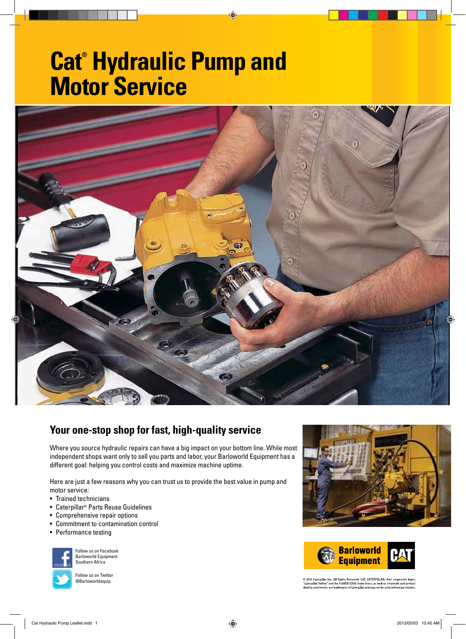# **Cat® Hydraulic Pump and Motor Service**



◈

## **Your one-stop shop for fast, high-quality service**

Where you source hydraulic repairs can have a big impact on your bottom line. While most independent shops want only to sell you parts and labor, your Barloworld Equipment has a different goal: helping you control costs and maximize machine uptime.

Here are just a few reasons why you can trust us to provide the best value in pump and motor service:

- Trained technicians
- Caterpillar® Parts Reuse Guidelines
- Comprehensive repair options
- Commitment to contamination control
- Performance testing







© 2013 Caterpillar Inc. All Rights Reserved. CAT, CATERPILLAR, their respective logos,<br>"Caterpillar Yellow" and the POWER EDGE trade dress, as well as corporate and product<br>identity used herein, are trademarks of Caterpill